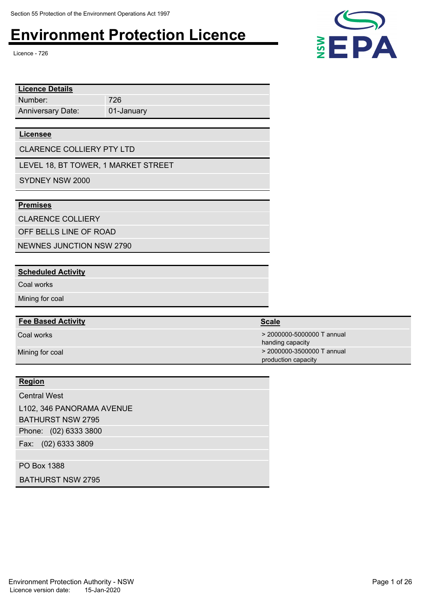Licence - 726

| <b>Licence Details</b>   |            |  |  |
|--------------------------|------------|--|--|
| Number:                  | 726        |  |  |
| <b>Anniversary Date:</b> | 01-January |  |  |
|                          |            |  |  |

#### **Licensee**

CLARENCE COLLIERY PTY LTD

LEVEL 18, BT TOWER, 1 MARKET STREET

SYDNEY NSW 2000

#### **Premises**

CLARENCE COLLIERY

OFF BELLS LINE OF ROAD

NEWNES JUNCTION NSW 2790

#### **Scheduled Activity**

Coal works

Mining for coal

#### **Fee Based Activity Scale**

#### **Region**

Phone: (02) 6333 3800 Fax: (02) 6333 3809 Central West L102, 346 PANORAMA AVENUE BATHURST NSW 2795

PO Box 1388

BATHURST NSW 2795

Environment Protection Authority - NSW **Page 1 of 26** Page 1 of 26 Licence version date: 15-Jan-2020



| <b>Fee Based Activity</b> | Scale                      |
|---------------------------|----------------------------|
| Coal works                | > 2000000-5000000 T annual |
|                           | handing capacity           |

Mining for coal **2000000-3500000 T** annual production capacity

ha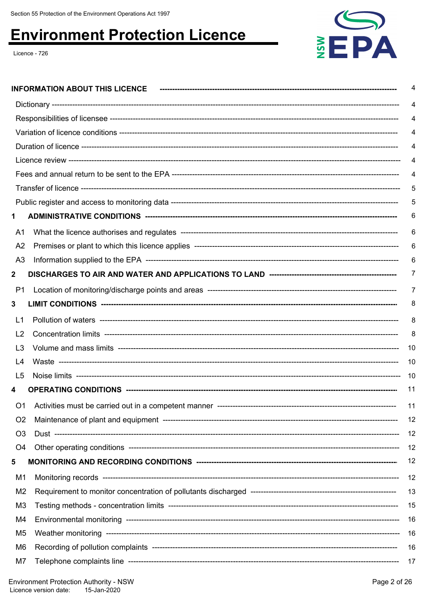

|                | <b>INFORMATION ABOUT THIS LICENCE</b> | 4   |
|----------------|---------------------------------------|-----|
|                |                                       | 4   |
|                |                                       | 4   |
|                |                                       |     |
|                |                                       |     |
|                |                                       |     |
|                |                                       | 4   |
|                |                                       | 5   |
|                |                                       | 5   |
|                |                                       | 6   |
| A1             |                                       | 6   |
| A <sub>2</sub> |                                       | 6   |
| A3             |                                       | 6   |
| 2              |                                       | 7   |
| P <sub>1</sub> |                                       | 7   |
| 3              |                                       | 8   |
| L1             |                                       | 8   |
| L <sub>2</sub> |                                       | 8   |
| L3             |                                       | 10  |
| L4             |                                       | 10  |
| L5             |                                       | -10 |
|                |                                       | 11  |
| O <sub>1</sub> |                                       | 11  |
| O <sub>2</sub> |                                       | 12  |
| O <sub>3</sub> |                                       | 12  |
| O <sub>4</sub> |                                       | 12  |
| 5              |                                       | 12  |
| M1             |                                       | 12  |
| M <sub>2</sub> |                                       | 13  |
| M3             |                                       | 15  |
| M4             |                                       | 16  |
| M <sub>5</sub> |                                       | 16  |
| M6             |                                       | 16  |
| M7             |                                       | 17  |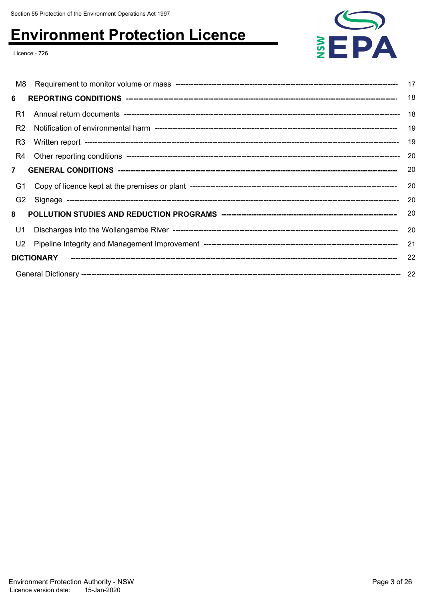

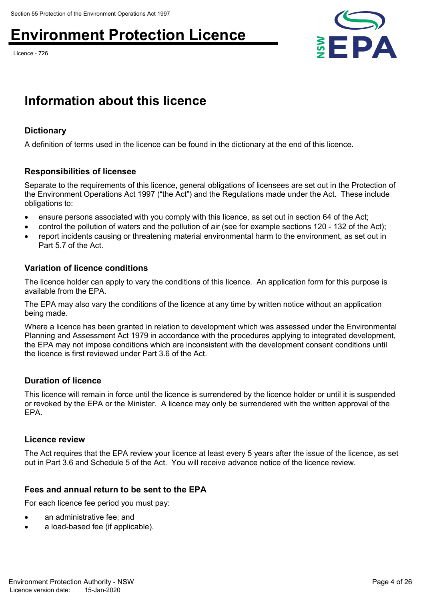Licence - 726



## **Information about this licence**

### **Dictionary**

A definition of terms used in the licence can be found in the dictionary at the end of this licence.

### **Responsibilities of licensee**

Separate to the requirements of this licence, general obligations of licensees are set out in the Protection of the Environment Operations Act 1997 ("the Act") and the Regulations made under the Act. These include obligations to:

- ensure persons associated with you comply with this licence, as set out in section 64 of the Act;
- control the pollution of waters and the pollution of air (see for example sections 120 132 of the Act);
- report incidents causing or threatening material environmental harm to the environment, as set out in Part 5.7 of the Act.

#### **Variation of licence conditions**

The licence holder can apply to vary the conditions of this licence. An application form for this purpose is available from the EPA.

The EPA may also vary the conditions of the licence at any time by written notice without an application being made.

Where a licence has been granted in relation to development which was assessed under the Environmental Planning and Assessment Act 1979 in accordance with the procedures applying to integrated development, the EPA may not impose conditions which are inconsistent with the development consent conditions until the licence is first reviewed under Part 3.6 of the Act.

### **Duration of licence**

This licence will remain in force until the licence is surrendered by the licence holder or until it is suspended or revoked by the EPA or the Minister. A licence may only be surrendered with the written approval of the EPA.

#### **Licence review**

The Act requires that the EPA review your licence at least every 5 years after the issue of the licence, as set out in Part 3.6 and Schedule 5 of the Act. You will receive advance notice of the licence review.

### **Fees and annual return to be sent to the EPA**

For each licence fee period you must pay:

- an administrative fee; and
- a load-based fee (if applicable).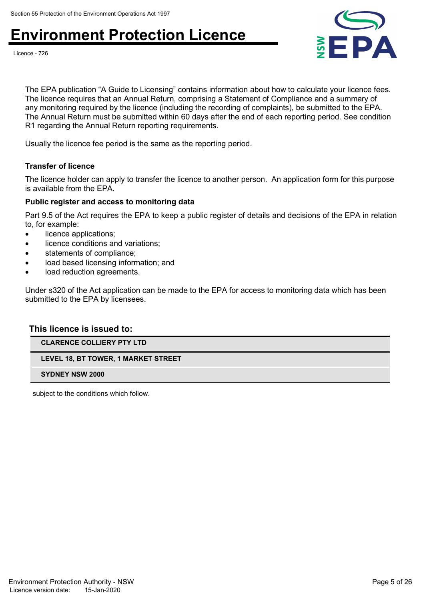

Licence - 726

The EPA publication "A Guide to Licensing" contains information about how to calculate your licence fees. The licence requires that an Annual Return, comprising a Statement of Compliance and a summary of any monitoring required by the licence (including the recording of complaints), be submitted to the EPA. The Annual Return must be submitted within 60 days after the end of each reporting period. See condition R1 regarding the Annual Return reporting requirements.

Usually the licence fee period is the same as the reporting period.

#### **Transfer of licence**

The licence holder can apply to transfer the licence to another person. An application form for this purpose is available from the EPA.

#### **Public register and access to monitoring data**

Part 9.5 of the Act requires the EPA to keep a public register of details and decisions of the EPA in relation to, for example:

- licence applications;
- licence conditions and variations;
- statements of compliance;
- load based licensing information; and
- load reduction agreements.

Under s320 of the Act application can be made to the EPA for access to monitoring data which has been submitted to the EPA by licensees.

#### **This licence is issued to:**

**CLARENCE COLLIERY PTY LTD**

**LEVEL 18, BT TOWER, 1 MARKET STREET**

**SYDNEY NSW 2000**

subject to the conditions which follow.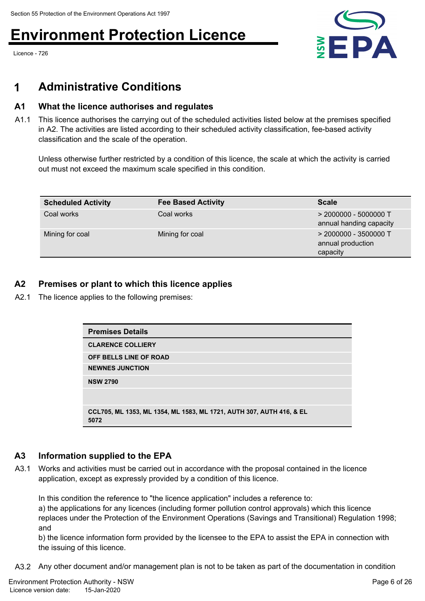Licence - 726



### **1 Administrative Conditions**

### **A1 What the licence authorises and regulates**

A1.1 This licence authorises the carrying out of the scheduled activities listed below at the premises specified in A2. The activities are listed according to their scheduled activity classification, fee-based activity classification and the scale of the operation.

Unless otherwise further restricted by a condition of this licence, the scale at which the activity is carried out must not exceed the maximum scale specified in this condition.

| <b>Scheduled Activity</b> | <b>Fee Based Activity</b> | <b>Scale</b>                                             |
|---------------------------|---------------------------|----------------------------------------------------------|
| Coal works                | Coal works                | $>$ 2000000 - 5000000 T<br>annual handing capacity       |
| Mining for coal           | Mining for coal           | $>$ 2000000 - 3500000 T<br>annual production<br>capacity |

### **A2 Premises or plant to which this licence applies**

A2.1 The licence applies to the following premises:

| <b>Premises Details</b>                                                      |
|------------------------------------------------------------------------------|
| <b>CLARENCE COLLIERY</b>                                                     |
| OFF BELLS LINE OF ROAD                                                       |
| <b>NEWNES JUNCTION</b>                                                       |
| <b>NSW 2790</b>                                                              |
|                                                                              |
| CCL705, ML 1353, ML 1354, ML 1583, ML 1721, AUTH 307, AUTH 416, & EL<br>5072 |

### **A3 Information supplied to the EPA**

A3.1 Works and activities must be carried out in accordance with the proposal contained in the licence application, except as expressly provided by a condition of this licence.

In this condition the reference to "the licence application" includes a reference to:

a) the applications for any licences (including former pollution control approvals) which this licence replaces under the Protection of the Environment Operations (Savings and Transitional) Regulation 1998; and

b) the licence information form provided by the licensee to the EPA to assist the EPA in connection with the issuing of this licence.

A3.2 Any other document and/or management plan is not to be taken as part of the documentation in condition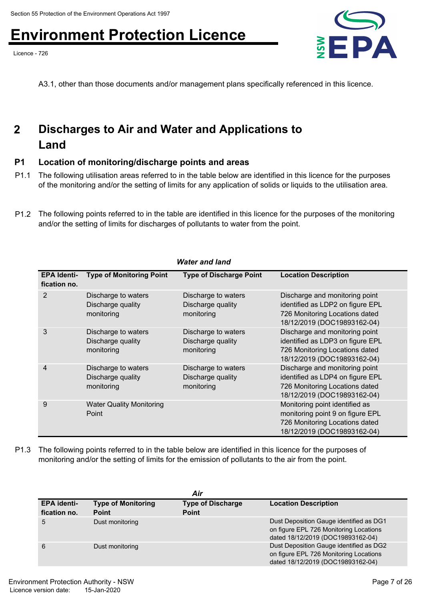Licence - 726



A3.1, other than those documents and/or management plans specifically referenced in this licence.

#### **Discharges to Air and Water and Applications to Land 2**

### **P1 Location of monitoring/discharge points and areas**

- P1.1 The following utilisation areas referred to in the table below are identified in this licence for the purposes of the monitoring and/or the setting of limits for any application of solids or liquids to the utilisation area.
- P1.2 The following points referred to in the table are identified in this licence for the purposes of the monitoring and/or the setting of limits for discharges of pollutants to water from the point.

| <b>Water and land</b>              |                                                        |                                                        |                                                                                                                                     |  |  |
|------------------------------------|--------------------------------------------------------|--------------------------------------------------------|-------------------------------------------------------------------------------------------------------------------------------------|--|--|
| <b>EPA Identi-</b><br>fication no. | <b>Type of Monitoring Point</b>                        | <b>Type of Discharge Point</b>                         | <b>Location Description</b>                                                                                                         |  |  |
| 2                                  | Discharge to waters<br>Discharge quality<br>monitoring | Discharge to waters<br>Discharge quality<br>monitoring | Discharge and monitoring point<br>identified as LDP2 on figure EPL<br>726 Monitoring Locations dated<br>18/12/2019 (DOC19893162-04) |  |  |
| 3                                  | Discharge to waters<br>Discharge quality<br>monitoring | Discharge to waters<br>Discharge quality<br>monitoring | Discharge and monitoring point<br>identified as LDP3 on figure EPL<br>726 Monitoring Locations dated<br>18/12/2019 (DOC19893162-04) |  |  |
| 4                                  | Discharge to waters<br>Discharge quality<br>monitoring | Discharge to waters<br>Discharge quality<br>monitoring | Discharge and monitoring point<br>identified as LDP4 on figure EPL<br>726 Monitoring Locations dated<br>18/12/2019 (DOC19893162-04) |  |  |
| 9                                  | <b>Water Quality Monitoring</b><br>Point               |                                                        | Monitoring point identified as<br>monitoring point 9 on figure EPL<br>726 Monitoring Locations dated<br>18/12/2019 (DOC19893162-04) |  |  |

P1.3 The following points referred to in the table below are identified in this licence for the purposes of monitoring and/or the setting of limits for the emission of pollutants to the air from the point.

| Air                                |                                           |                                          |                                                                                                                        |  |
|------------------------------------|-------------------------------------------|------------------------------------------|------------------------------------------------------------------------------------------------------------------------|--|
| <b>EPA identi-</b><br>fication no. | <b>Type of Monitoring</b><br><b>Point</b> | <b>Type of Discharge</b><br><b>Point</b> | <b>Location Description</b>                                                                                            |  |
| 5                                  | Dust monitoring                           |                                          | Dust Deposition Gauge identified as DG1<br>on figure EPL 726 Monitoring Locations<br>dated 18/12/2019 (DOC19893162-04) |  |
| 6                                  | Dust monitoring                           |                                          | Dust Deposition Gauge identified as DG2<br>on figure EPL 726 Monitoring Locations<br>dated 18/12/2019 (DOC19893162-04) |  |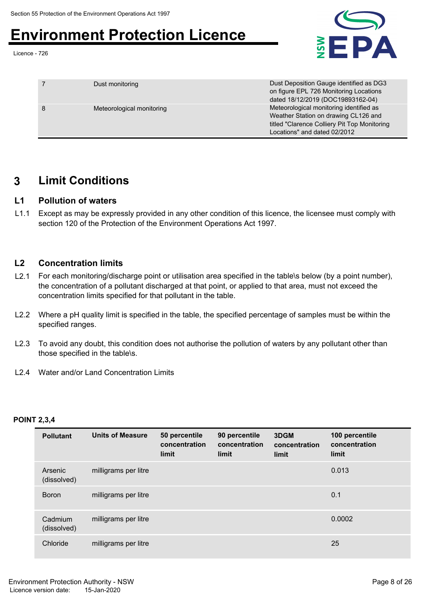Licence - 726



|   | Dust monitoring           | Dust Deposition Gauge identified as DG3<br>on figure EPL 726 Monitoring Locations<br>dated 18/12/2019 (DOC19893162-04)                                          |
|---|---------------------------|-----------------------------------------------------------------------------------------------------------------------------------------------------------------|
| 8 | Meteorological monitoring | Meteorological monitoring identified as<br>Weather Station on drawing CL126 and<br>titled "Clarence Colliery Pit Top Monitoring<br>Locations" and dated 02/2012 |

### **3 Limit Conditions**

### **L1 Pollution of waters**

L1.1 Except as may be expressly provided in any other condition of this licence, the licensee must comply with section 120 of the Protection of the Environment Operations Act 1997.

### **L2 Concentration limits**

- L2.1 For each monitoring/discharge point or utilisation area specified in the table\s below (by a point number), the concentration of a pollutant discharged at that point, or applied to that area, must not exceed the concentration limits specified for that pollutant in the table.
- L2.2 Where a pH quality limit is specified in the table, the specified percentage of samples must be within the specified ranges.
- L2.3 To avoid any doubt, this condition does not authorise the pollution of waters by any pollutant other than those specified in the table\s.
- L2.4 Water and/or Land Concentration Limits

### **POINT 2,3,4**

| <b>Pollutant</b>       | <b>Units of Measure</b> | 50 percentile<br>concentration<br>limit | 90 percentile<br>concentration<br>limit | 3DGM<br>concentration<br>limit | 100 percentile<br>concentration<br>limit |  |
|------------------------|-------------------------|-----------------------------------------|-----------------------------------------|--------------------------------|------------------------------------------|--|
| Arsenic<br>(dissolved) | milligrams per litre    |                                         |                                         |                                | 0.013                                    |  |
| <b>Boron</b>           | milligrams per litre    |                                         |                                         |                                | 0.1                                      |  |
| Cadmium<br>(dissolved) | milligrams per litre    |                                         |                                         |                                | 0.0002                                   |  |
| Chloride               | milligrams per litre    |                                         |                                         |                                | 25                                       |  |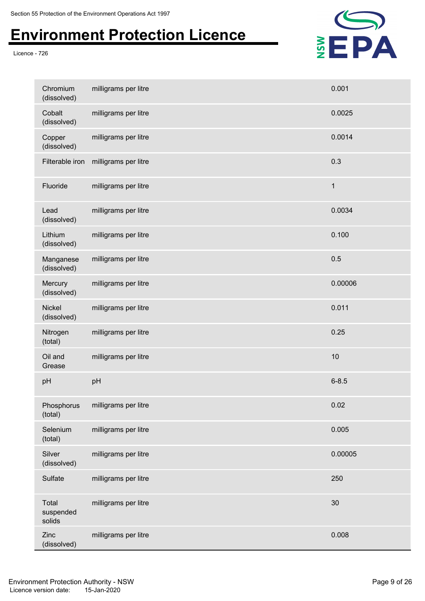

| Chromium<br>(dissolved)      | milligrams per litre | 0.001        |
|------------------------------|----------------------|--------------|
| Cobalt<br>(dissolved)        | milligrams per litre | 0.0025       |
| Copper<br>(dissolved)        | milligrams per litre | 0.0014       |
| Filterable iron              | milligrams per litre | 0.3          |
| Fluoride                     | milligrams per litre | $\mathbf{1}$ |
| Lead<br>(dissolved)          | milligrams per litre | 0.0034       |
| Lithium<br>(dissolved)       | milligrams per litre | 0.100        |
| Manganese<br>(dissolved)     | milligrams per litre | 0.5          |
| Mercury<br>(dissolved)       | milligrams per litre | 0.00006      |
| <b>Nickel</b><br>(dissolved) | milligrams per litre | 0.011        |
| Nitrogen<br>(total)          | milligrams per litre | 0.25         |
| Oil and<br>Grease            | milligrams per litre | 10           |
| pH                           | pH                   | $6 - 8.5$    |
| Phosphorus<br>(total)        | milligrams per litre | 0.02         |
| Selenium<br>(total)          | milligrams per litre | 0.005        |
| Silver<br>(dissolved)        | milligrams per litre | 0.00005      |
| Sulfate                      | milligrams per litre | 250          |
| Total<br>suspended<br>solids | milligrams per litre | 30           |
| Zinc<br>(dissolved)          | milligrams per litre | 0.008        |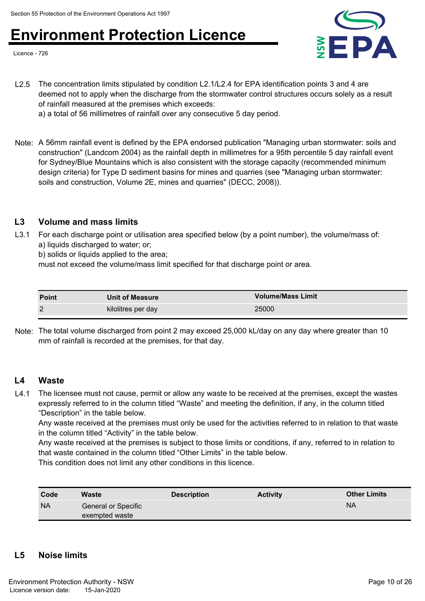Licence - 726



L2.5 The concentration limits stipulated by condition L2.1/L2.4 for EPA identification points 3 and 4 are deemed not to apply when the discharge from the stormwater control structures occurs solely as a result of rainfall measured at the premises which exceeds:

a) a total of 56 millimetres of rainfall over any consecutive 5 day period.

Note: A 56mm rainfall event is defined by the EPA endorsed publication "Managing urban stormwater: soils and construction" (Landcom 2004) as the rainfall depth in millimetres for a 95th percentile 5 day rainfall event for Sydney/Blue Mountains which is also consistent with the storage capacity (recommended minimum design criteria) for Type D sediment basins for mines and quarries (see "Managing urban stormwater: soils and construction, Volume 2E, mines and quarries" (DECC, 2008)).

### **L3 Volume and mass limits**

L3.1 For each discharge point or utilisation area specified below (by a point number), the volume/mass of: a) liquids discharged to water; or;

b) solids or liquids applied to the area;

must not exceed the volume/mass limit specified for that discharge point or area.

| <b>Point</b> | <b>Unit of Measure</b> | <b>Volume/Mass Limit</b> |
|--------------|------------------------|--------------------------|
| $\sim$       | kilolitres per day     | 25000                    |

Note: The total volume discharged from point 2 may exceed 25,000 kL/day on any day where greater than 10 mm of rainfall is recorded at the premises, for that day.

### **L4 Waste**

L4.1 The licensee must not cause, permit or allow any waste to be received at the premises, except the wastes expressly referred to in the column titled "Waste" and meeting the definition, if any, in the column titled "Description" in the table below.

Any waste received at the premises must only be used for the activities referred to in relation to that waste in the column titled "Activity" in the table below.

Any waste received at the premises is subject to those limits or conditions, if any, referred to in relation to that waste contained in the column titled "Other Limits" in the table below.

This condition does not limit any other conditions in this licence.

| Code      | Waste                                 | <b>Description</b> | <b>Activity</b> | <b>Other Limits</b> |
|-----------|---------------------------------------|--------------------|-----------------|---------------------|
| <b>NA</b> | General or Specific<br>exempted waste |                    |                 | <b>NA</b>           |

### **L5 Noise limits**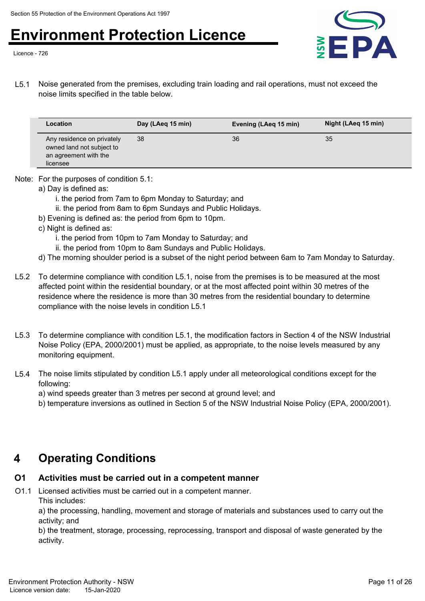Licence - 726



L5.1 Noise generated from the premises, excluding train loading and rail operations, must not exceed the noise limits specified in the table below.

| Location                                                                                     | Day (LAeg 15 min) | Evening (LAeg 15 min) | Night (LAeg 15 min) |
|----------------------------------------------------------------------------------------------|-------------------|-----------------------|---------------------|
| Any residence on privately<br>owned land not subject to<br>an agreement with the<br>licensee | 38                | 36                    | 35                  |

Note: For the purposes of condition 5.1:

- a) Day is defined as:
	- i. the period from 7am to 6pm Monday to Saturday; and
	- ii. the period from 8am to 6pm Sundays and Public Holidays.
- b) Evening is defined as: the period from 6pm to 10pm.
- c) Night is defined as:
	- i. the period from 10pm to 7am Monday to Saturday; and
	- ii. the period from 10pm to 8am Sundays and Public Holidays.
- d) The morning shoulder period is a subset of the night period between 6am to 7am Monday to Saturday.
- L5.2 To determine compliance with condition L5.1, noise from the premises is to be measured at the most affected point within the residential boundary, or at the most affected point within 30 metres of the residence where the residence is more than 30 metres from the residential boundary to determine compliance with the noise levels in condition L5.1
- L5.3 To determine compliance with condition L5.1, the modification factors in Section 4 of the NSW Industrial Noise Policy (EPA, 2000/2001) must be applied, as appropriate, to the noise levels measured by any monitoring equipment.
- L5.4 The noise limits stipulated by condition L5.1 apply under all meteorological conditions except for the following:

a) wind speeds greater than 3 metres per second at ground level; and

b) temperature inversions as outlined in Section 5 of the NSW Industrial Noise Policy (EPA, 2000/2001).

### **4 Operating Conditions**

### **O1 Activities must be carried out in a competent manner**

O1.1 Licensed activities must be carried out in a competent manner.

This includes:

a) the processing, handling, movement and storage of materials and substances used to carry out the activity; and

b) the treatment, storage, processing, reprocessing, transport and disposal of waste generated by the activity.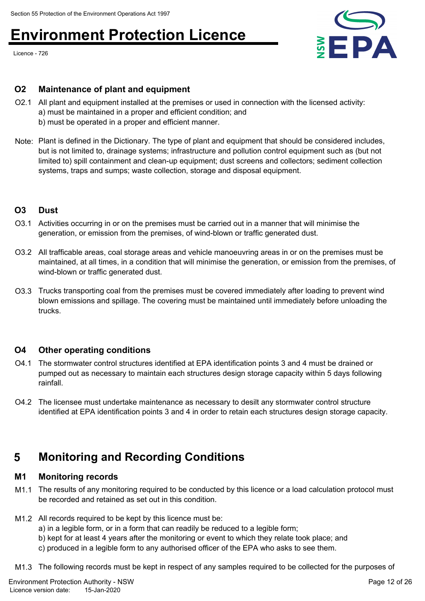Licence - 726



### **O2 Maintenance of plant and equipment**

- O2.1 All plant and equipment installed at the premises or used in connection with the licensed activity: a) must be maintained in a proper and efficient condition; and b) must be operated in a proper and efficient manner.
- Note: Plant is defined in the Dictionary. The type of plant and equipment that should be considered includes, but is not limited to, drainage systems; infrastructure and pollution control equipment such as (but not limited to) spill containment and clean-up equipment; dust screens and collectors; sediment collection systems, traps and sumps; waste collection, storage and disposal equipment.

#### **O3 Dust**

- O3.1 Activities occurring in or on the premises must be carried out in a manner that will minimise the generation, or emission from the premises, of wind-blown or traffic generated dust.
- O3.2 All trafficable areas, coal storage areas and vehicle manoeuvring areas in or on the premises must be maintained, at all times, in a condition that will minimise the generation, or emission from the premises, of wind-blown or traffic generated dust.
- O3.3 Trucks transporting coal from the premises must be covered immediately after loading to prevent wind blown emissions and spillage. The covering must be maintained until immediately before unloading the trucks.

### **O4 Other operating conditions**

- O4.1 The stormwater control structures identified at EPA identification points 3 and 4 must be drained or pumped out as necessary to maintain each structures design storage capacity within 5 days following rainfall.
- O4.2 The licensee must undertake maintenance as necessary to desilt any stormwater control structure identified at EPA identification points 3 and 4 in order to retain each structures design storage capacity.

### **5 Monitoring and Recording Conditions**

#### **M1 Monitoring records**

- M1.1 The results of any monitoring required to be conducted by this licence or a load calculation protocol must be recorded and retained as set out in this condition.
- M1.2 All records required to be kept by this licence must be:
	- a) in a legible form, or in a form that can readily be reduced to a legible form;
	- b) kept for at least 4 years after the monitoring or event to which they relate took place; and
	- c) produced in a legible form to any authorised officer of the EPA who asks to see them.

M1.3 The following records must be kept in respect of any samples required to be collected for the purposes of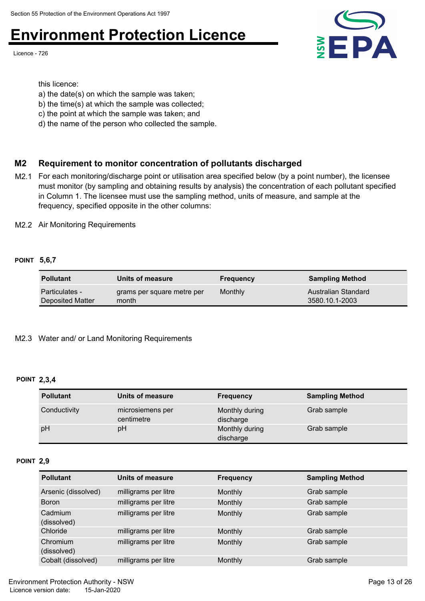Licence - 726



this licence:

- a) the date(s) on which the sample was taken;
- b) the time(s) at which the sample was collected;
- c) the point at which the sample was taken; and
- d) the name of the person who collected the sample.

### **M2 Requirement to monitor concentration of pollutants discharged**

M2.1 For each monitoring/discharge point or utilisation area specified below (by a point number), the licensee must monitor (by sampling and obtaining results by analysis) the concentration of each pollutant specified in Column 1. The licensee must use the sampling method, units of measure, and sample at the frequency, specified opposite in the other columns:

M2.2 Air Monitoring Requirements

#### **POINT 5,6,7**

| <b>Pollutant</b>      | Units of measure           | <b>Frequency</b> | <b>Sampling Method</b> |
|-----------------------|----------------------------|------------------|------------------------|
| <b>Particulates -</b> | grams per square metre per | Monthly          | Australian Standard    |
| Deposited Matter      | month                      |                  | 3580.10.1-2003         |

#### M2.3 Water and/ or Land Monitoring Requirements

#### **POINT 2,3,4**

| <b>Pollutant</b> | Units of measure               | <b>Frequency</b>            | <b>Sampling Method</b> |
|------------------|--------------------------------|-----------------------------|------------------------|
| Conductivity     | microsiemens per<br>centimetre | Monthly during<br>discharge | Grab sample            |
| pH               | рH                             | Monthly during<br>discharge | Grab sample            |

#### **POINT 2,9**

| <b>Pollutant</b>        | Units of measure     | <b>Frequency</b> | <b>Sampling Method</b> |
|-------------------------|----------------------|------------------|------------------------|
| Arsenic (dissolved)     | milligrams per litre | Monthly          | Grab sample            |
| <b>Boron</b>            | milligrams per litre | <b>Monthly</b>   | Grab sample            |
| Cadmium<br>(dissolved)  | milligrams per litre | <b>Monthly</b>   | Grab sample            |
| Chloride                | milligrams per litre | Monthly          | Grab sample            |
| Chromium<br>(dissolved) | milligrams per litre | <b>Monthly</b>   | Grab sample            |
| Cobalt (dissolved)      | milligrams per litre | Monthly          | Grab sample            |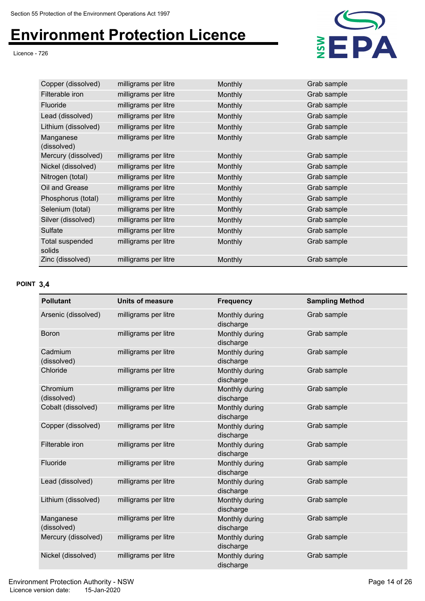Licence - 726



| Copper (dissolved)        | milligrams per litre | <b>Monthly</b> | Grab sample |
|---------------------------|----------------------|----------------|-------------|
| Filterable iron           | milligrams per litre | <b>Monthly</b> | Grab sample |
| <b>Fluoride</b>           | milligrams per litre | <b>Monthly</b> | Grab sample |
| Lead (dissolved)          | milligrams per litre | <b>Monthly</b> | Grab sample |
| Lithium (dissolved)       | milligrams per litre | <b>Monthly</b> | Grab sample |
| Manganese<br>(dissolved)  | milligrams per litre | Monthly        | Grab sample |
| Mercury (dissolved)       | milligrams per litre | Monthly        | Grab sample |
| Nickel (dissolved)        | milligrams per litre | <b>Monthly</b> | Grab sample |
| Nitrogen (total)          | milligrams per litre | <b>Monthly</b> | Grab sample |
| Oil and Grease            | milligrams per litre | <b>Monthly</b> | Grab sample |
| Phosphorus (total)        | milligrams per litre | <b>Monthly</b> | Grab sample |
| Selenium (total)          | milligrams per litre | <b>Monthly</b> | Grab sample |
| Silver (dissolved)        | milligrams per litre | <b>Monthly</b> | Grab sample |
| Sulfate                   | milligrams per litre | <b>Monthly</b> | Grab sample |
| Total suspended<br>solids | milligrams per litre | Monthly        | Grab sample |
| Zinc (dissolved)          | milligrams per litre | Monthly        | Grab sample |

#### **POINT 3,4**

| <b>Pollutant</b>         | <b>Units of measure</b> | <b>Frequency</b>            | <b>Sampling Method</b> |
|--------------------------|-------------------------|-----------------------------|------------------------|
| Arsenic (dissolved)      | milligrams per litre    | Monthly during<br>discharge | Grab sample            |
| <b>Boron</b>             | milligrams per litre    | Monthly during<br>discharge | Grab sample            |
| Cadmium<br>(dissolved)   | milligrams per litre    | Monthly during<br>discharge | Grab sample            |
| Chloride                 | milligrams per litre    | Monthly during<br>discharge | Grab sample            |
| Chromium<br>(dissolved)  | milligrams per litre    | Monthly during<br>discharge | Grab sample            |
| Cobalt (dissolved)       | milligrams per litre    | Monthly during<br>discharge | Grab sample            |
| Copper (dissolved)       | milligrams per litre    | Monthly during<br>discharge | Grab sample            |
| Filterable iron          | milligrams per litre    | Monthly during<br>discharge | Grab sample            |
| Fluoride                 | milligrams per litre    | Monthly during<br>discharge | Grab sample            |
| Lead (dissolved)         | milligrams per litre    | Monthly during<br>discharge | Grab sample            |
| Lithium (dissolved)      | milligrams per litre    | Monthly during<br>discharge | Grab sample            |
| Manganese<br>(dissolved) | milligrams per litre    | Monthly during<br>discharge | Grab sample            |
| Mercury (dissolved)      | milligrams per litre    | Monthly during<br>discharge | Grab sample            |
| Nickel (dissolved)       | milligrams per litre    | Monthly during<br>discharge | Grab sample            |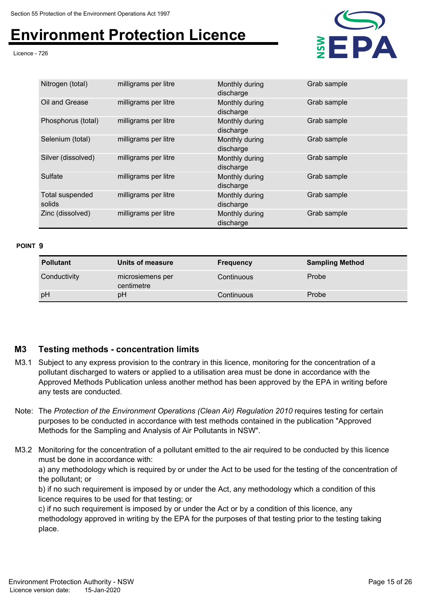Licence - 726



| Nitrogen (total)          | milligrams per litre | Monthly during<br>discharge | Grab sample |
|---------------------------|----------------------|-----------------------------|-------------|
| Oil and Grease            | milligrams per litre | Monthly during<br>discharge | Grab sample |
| Phosphorus (total)        | milligrams per litre | Monthly during<br>discharge | Grab sample |
| Selenium (total)          | milligrams per litre | Monthly during<br>discharge | Grab sample |
| Silver (dissolved)        | milligrams per litre | Monthly during<br>discharge | Grab sample |
| Sulfate                   | milligrams per litre | Monthly during<br>discharge | Grab sample |
| Total suspended<br>solids | milligrams per litre | Monthly during<br>discharge | Grab sample |
| Zinc (dissolved)          | milligrams per litre | Monthly during<br>discharge | Grab sample |

#### **POINT 9**

| <b>Pollutant</b> | Units of measure               | <b>Frequency</b> | <b>Sampling Method</b> |
|------------------|--------------------------------|------------------|------------------------|
| Conductivity     | microsiemens per<br>centimetre | Continuous       | Probe                  |
| pH               | pH                             | Continuous       | Probe                  |

### **M3 Testing methods - concentration limits**

- M3.1 Subject to any express provision to the contrary in this licence, monitoring for the concentration of a pollutant discharged to waters or applied to a utilisation area must be done in accordance with the Approved Methods Publication unless another method has been approved by the EPA in writing before any tests are conducted.
- Note: The *Protection of the Environment Operations (Clean Air) Regulation 2010* requires testing for certain purposes to be conducted in accordance with test methods contained in the publication "Approved Methods for the Sampling and Analysis of Air Pollutants in NSW".
- M3.2 Monitoring for the concentration of a pollutant emitted to the air required to be conducted by this licence must be done in accordance with:

a) any methodology which is required by or under the Act to be used for the testing of the concentration of the pollutant; or

b) if no such requirement is imposed by or under the Act, any methodology which a condition of this licence requires to be used for that testing; or

c) if no such requirement is imposed by or under the Act or by a condition of this licence, any methodology approved in writing by the EPA for the purposes of that testing prior to the testing taking place.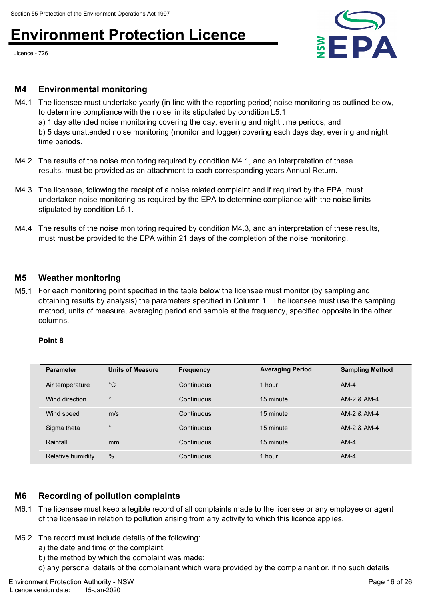Licence - 726



#### **M4 Environmental monitoring**

M4.1 The licensee must undertake yearly (in-line with the reporting period) noise monitoring as outlined below, to determine compliance with the noise limits stipulated by condition L5.1:

a) 1 day attended noise monitoring covering the day, evening and night time periods; and b) 5 days unattended noise monitoring (monitor and logger) covering each days day, evening and night

time periods.

- M4.2 The results of the noise monitoring required by condition M4.1, and an interpretation of these results, must be provided as an attachment to each corresponding years Annual Return.
- M4.3 The licensee, following the receipt of a noise related complaint and if required by the EPA, must undertaken noise monitoring as required by the EPA to determine compliance with the noise limits stipulated by condition L5.1.
- M4.4 The results of the noise monitoring required by condition M4.3, and an interpretation of these results, must must be provided to the EPA within 21 days of the completion of the noise monitoring.

### **M5 Weather monitoring**

M5.1 For each monitoring point specified in the table below the licensee must monitor (by sampling and obtaining results by analysis) the parameters specified in Column 1. The licensee must use the sampling method, units of measure, averaging period and sample at the frequency, specified opposite in the other columns.

#### **Point 8**

| <b>Parameter</b>  | <b>Units of Measure</b> | <b>Frequency</b> | <b>Averaging Period</b> | <b>Sampling Method</b> |
|-------------------|-------------------------|------------------|-------------------------|------------------------|
| Air temperature   | $^{\circ}C$             | Continuous       | 1 hour                  | $AM-4$                 |
| Wind direction    | $\circ$                 | Continuous       | 15 minute               | AM-2 & AM-4            |
| Wind speed        | m/s                     | Continuous       | 15 minute               | AM-2 & AM-4            |
| Sigma theta       | $\circ$                 | Continuous       | 15 minute               | AM-2 & AM-4            |
| Rainfall          | mm                      | Continuous       | 15 minute               | $AM-4$                 |
| Relative humidity | %                       | Continuous       | 1 hour                  | $AM-4$                 |

### **M6 Recording of pollution complaints**

- M6.1 The licensee must keep a legible record of all complaints made to the licensee or any employee or agent of the licensee in relation to pollution arising from any activity to which this licence applies.
- M6.2 The record must include details of the following:
	- a) the date and time of the complaint;
	- b) the method by which the complaint was made;
	- c) any personal details of the complainant which were provided by the complainant or, if no such details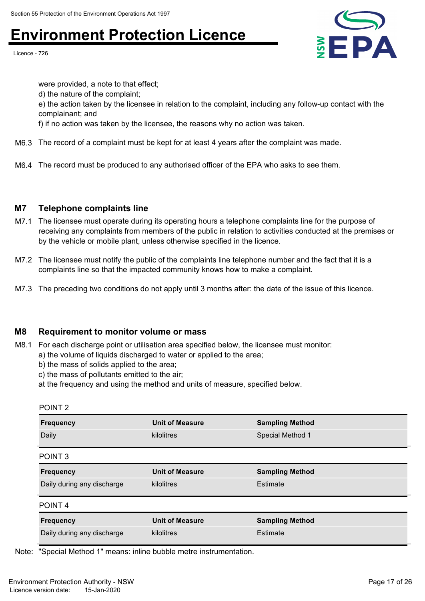Licence - 726



were provided, a note to that effect; d) the nature of the complaint; e) the action taken by the licensee in relation to the complaint, including any follow-up contact with the complainant; and f) if no action was taken by the licensee, the reasons why no action was taken.

- M6.3 The record of a complaint must be kept for at least 4 years after the complaint was made.
- M6.4 The record must be produced to any authorised officer of the EPA who asks to see them.

### **M7 Telephone complaints line**

- M7.1 The licensee must operate during its operating hours a telephone complaints line for the purpose of receiving any complaints from members of the public in relation to activities conducted at the premises or by the vehicle or mobile plant, unless otherwise specified in the licence.
- M7.2 The licensee must notify the public of the complaints line telephone number and the fact that it is a complaints line so that the impacted community knows how to make a complaint.
- M7.3 The preceding two conditions do not apply until 3 months after: the date of the issue of this licence.

### **M8 Requirement to monitor volume or mass**

- M8.1 For each discharge point or utilisation area specified below, the licensee must monitor:
	- a) the volume of liquids discharged to water or applied to the area;
		- b) the mass of solids applied to the area;
		- c) the mass of pollutants emitted to the air;
		- at the frequency and using the method and units of measure, specified below.

| POINT <sub>2</sub>         |                        |                        |
|----------------------------|------------------------|------------------------|
| <b>Frequency</b>           | <b>Unit of Measure</b> | <b>Sampling Method</b> |
| Daily                      | kilolitres             | Special Method 1       |
|                            |                        |                        |
| POINT <sub>3</sub>         |                        |                        |
| <b>Frequency</b>           | <b>Unit of Measure</b> | <b>Sampling Method</b> |
| Daily during any discharge | kilolitres             | Estimate               |
| POINT <sub>4</sub>         |                        |                        |
| <b>Frequency</b>           | <b>Unit of Measure</b> | <b>Sampling Method</b> |
| Daily during any discharge | kilolitres             | Estimate               |
|                            |                        |                        |

Note: "Special Method 1" means: inline bubble metre instrumentation.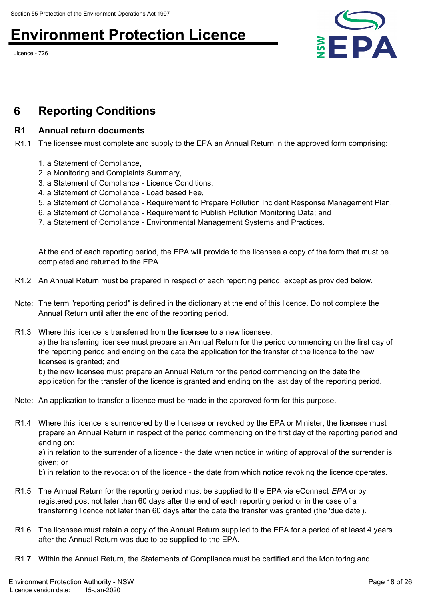Licence - 726



## **6 Reporting Conditions**

### **R1 Annual return documents**

R1.1 The licensee must complete and supply to the EPA an Annual Return in the approved form comprising:

- 1. a Statement of Compliance,
- 2. a Monitoring and Complaints Summary,
- 3. a Statement of Compliance Licence Conditions,
- 4. a Statement of Compliance Load based Fee,
- 5. a Statement of Compliance Requirement to Prepare Pollution Incident Response Management Plan,
- 6. a Statement of Compliance Requirement to Publish Pollution Monitoring Data; and
- 7. a Statement of Compliance Environmental Management Systems and Practices.

At the end of each reporting period, the EPA will provide to the licensee a copy of the form that must be completed and returned to the EPA.

- R1.2 An Annual Return must be prepared in respect of each reporting period, except as provided below.
- Note: The term "reporting period" is defined in the dictionary at the end of this licence. Do not complete the Annual Return until after the end of the reporting period.
- R1.3 Where this licence is transferred from the licensee to a new licensee: a) the transferring licensee must prepare an Annual Return for the period commencing on the first day of the reporting period and ending on the date the application for the transfer of the licence to the new licensee is granted; and

b) the new licensee must prepare an Annual Return for the period commencing on the date the application for the transfer of the licence is granted and ending on the last day of the reporting period.

- Note: An application to transfer a licence must be made in the approved form for this purpose.
- R1.4 Where this licence is surrendered by the licensee or revoked by the EPA or Minister, the licensee must prepare an Annual Return in respect of the period commencing on the first day of the reporting period and ending on:

a) in relation to the surrender of a licence - the date when notice in writing of approval of the surrender is given; or

b) in relation to the revocation of the licence - the date from which notice revoking the licence operates.

- R1.5 The Annual Return for the reporting period must be supplied to the EPA via eConnect *EPA* or by registered post not later than 60 days after the end of each reporting period or in the case of a transferring licence not later than 60 days after the date the transfer was granted (the 'due date').
- R1.6 The licensee must retain a copy of the Annual Return supplied to the EPA for a period of at least 4 years after the Annual Return was due to be supplied to the EPA.
- R1.7 Within the Annual Return, the Statements of Compliance must be certified and the Monitoring and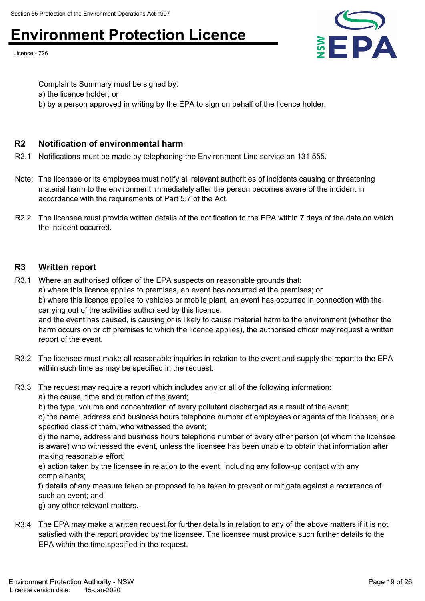Licence - 726



Complaints Summary must be signed by: a) the licence holder; or b) by a person approved in writing by the EPA to sign on behalf of the licence holder.

### **R2 Notification of environmental harm**

R2.1 Notifications must be made by telephoning the Environment Line service on 131 555.

- Note: The licensee or its employees must notify all relevant authorities of incidents causing or threatening material harm to the environment immediately after the person becomes aware of the incident in accordance with the requirements of Part 5.7 of the Act.
- R2.2 The licensee must provide written details of the notification to the EPA within 7 days of the date on which the incident occurred.

### **R3 Written report**

R3.1 Where an authorised officer of the EPA suspects on reasonable grounds that: a) where this licence applies to premises, an event has occurred at the premises; or b) where this licence applies to vehicles or mobile plant, an event has occurred in connection with the carrying out of the activities authorised by this licence, and the event has caused, is causing or is likely to cause material harm to the environment (whether the

harm occurs on or off premises to which the licence applies), the authorised officer may request a written report of the event.

- R3.2 The licensee must make all reasonable inquiries in relation to the event and supply the report to the EPA within such time as may be specified in the request.
- R3.3 The request may require a report which includes any or all of the following information: a) the cause, time and duration of the event;

b) the type, volume and concentration of every pollutant discharged as a result of the event;

c) the name, address and business hours telephone number of employees or agents of the licensee, or a specified class of them, who witnessed the event;

d) the name, address and business hours telephone number of every other person (of whom the licensee is aware) who witnessed the event, unless the licensee has been unable to obtain that information after making reasonable effort;

e) action taken by the licensee in relation to the event, including any follow-up contact with any complainants;

f) details of any measure taken or proposed to be taken to prevent or mitigate against a recurrence of such an event; and

g) any other relevant matters.

R3.4 The EPA may make a written request for further details in relation to any of the above matters if it is not satisfied with the report provided by the licensee. The licensee must provide such further details to the EPA within the time specified in the request.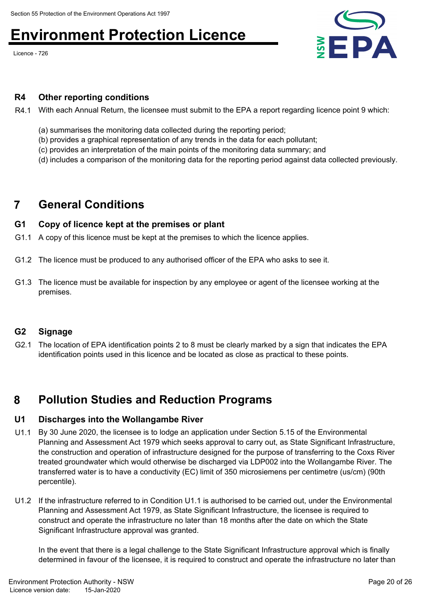Licence - 726



#### **R4 Other reporting conditions**

- R4.1 With each Annual Return, the licensee must submit to the EPA a report regarding licence point 9 which:
	- (a) summarises the monitoring data collected during the reporting period;
	- (b) provides a graphical representation of any trends in the data for each pollutant;
	- (c) provides an interpretation of the main points of the monitoring data summary; and
	- (d) includes a comparison of the monitoring data for the reporting period against data collected previously.

### **7 General Conditions**

#### **G1 Copy of licence kept at the premises or plant**

- G1.1 A copy of this licence must be kept at the premises to which the licence applies.
- G1.2 The licence must be produced to any authorised officer of the EPA who asks to see it.
- G1.3 The licence must be available for inspection by any employee or agent of the licensee working at the premises.

### **G2 Signage**

G2.1 The location of EPA identification points 2 to 8 must be clearly marked by a sign that indicates the EPA identification points used in this licence and be located as close as practical to these points.

### **8 Pollution Studies and Reduction Programs**

#### **U1 Discharges into the Wollangambe River**

- U1.1 By 30 June 2020, the licensee is to lodge an application under Section 5.15 of the Environmental Planning and Assessment Act 1979 which seeks approval to carry out, as State Significant Infrastructure, the construction and operation of infrastructure designed for the purpose of transferring to the Coxs River treated groundwater which would otherwise be discharged via LDP002 into the Wollangambe River. The transferred water is to have a conductivity (EC) limit of 350 microsiemens per centimetre (us/cm) (90th percentile).
- U1.2 If the infrastructure referred to in Condition U1.1 is authorised to be carried out, under the Environmental Planning and Assessment Act 1979, as State Significant Infrastructure, the licensee is required to construct and operate the infrastructure no later than 18 months after the date on which the State Significant Infrastructure approval was granted.

In the event that there is a legal challenge to the State Significant Infrastructure approval which is finally determined in favour of the licensee, it is required to construct and operate the infrastructure no later than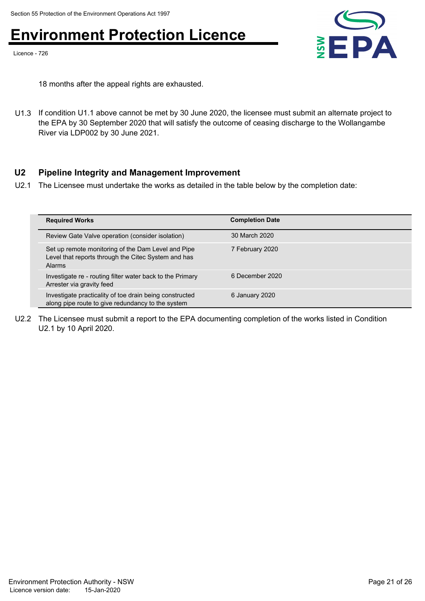Licence - 726



18 months after the appeal rights are exhausted.

U1.3 If condition U1.1 above cannot be met by 30 June 2020, the licensee must submit an alternate project to the EPA by 30 September 2020 that will satisfy the outcome of ceasing discharge to the Wollangambe River via LDP002 by 30 June 2021.

### **U2 Pipeline Integrity and Management Improvement**

U2.1 The Licensee must undertake the works as detailed in the table below by the completion date:

| <b>Required Works</b>                                                                                                      | <b>Completion Date</b> |
|----------------------------------------------------------------------------------------------------------------------------|------------------------|
| Review Gate Valve operation (consider isolation)                                                                           | 30 March 2020          |
| Set up remote monitoring of the Dam Level and Pipe<br>Level that reports through the Citec System and has<br><b>Alarms</b> | 7 February 2020        |
| Investigate re - routing filter water back to the Primary<br>Arrester via gravity feed                                     | 6 December 2020        |
| Investigate practicality of toe drain being constructed<br>along pipe route to give redundancy to the system               | 6 January 2020         |

U2.2 The Licensee must submit a report to the EPA documenting completion of the works listed in Condition U2.1 by 10 April 2020.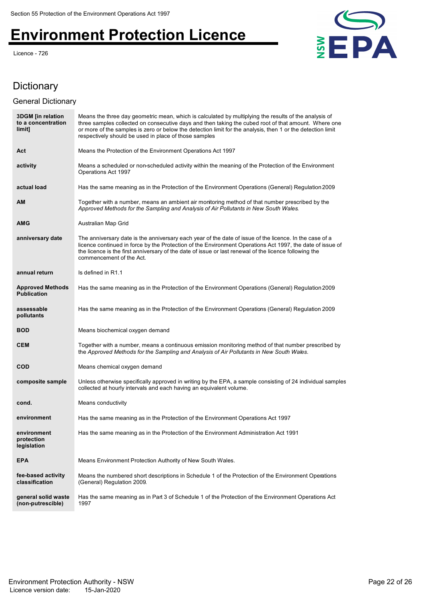Licence - 726



### Dictionary

### General Dictionary

| <b>3DGM</b> [in relation<br>to a concentration<br>limit] | Means the three day geometric mean, which is calculated by multiplying the results of the analysis of<br>three samples collected on consecutive days and then taking the cubed root of that amount. Where one<br>or more of the samples is zero or below the detection limit for the analysis, then 1 or the detection limit<br>respectively should be used in place of those samples |
|----------------------------------------------------------|---------------------------------------------------------------------------------------------------------------------------------------------------------------------------------------------------------------------------------------------------------------------------------------------------------------------------------------------------------------------------------------|
| Act                                                      | Means the Protection of the Environment Operations Act 1997                                                                                                                                                                                                                                                                                                                           |
| activity                                                 | Means a scheduled or non-scheduled activity within the meaning of the Protection of the Environment<br>Operations Act 1997                                                                                                                                                                                                                                                            |
| actual load                                              | Has the same meaning as in the Protection of the Environment Operations (General) Regulation 2009                                                                                                                                                                                                                                                                                     |
| AM                                                       | Together with a number, means an ambient air monitoring method of that number prescribed by the<br>Approved Methods for the Sampling and Analysis of Air Pollutants in New South Wales.                                                                                                                                                                                               |
| <b>AMG</b>                                               | Australian Map Grid                                                                                                                                                                                                                                                                                                                                                                   |
| anniversary date                                         | The anniversary date is the anniversary each year of the date of issue of the licence. In the case of a<br>licence continued in force by the Protection of the Environment Operations Act 1997, the date of issue of<br>the licence is the first anniversary of the date of issue or last renewal of the licence following the<br>commencement of the Act.                            |
| annual return                                            | Is defined in R1.1                                                                                                                                                                                                                                                                                                                                                                    |
| <b>Approved Methods</b><br><b>Publication</b>            | Has the same meaning as in the Protection of the Environment Operations (General) Regulation 2009                                                                                                                                                                                                                                                                                     |
| assessable<br>pollutants                                 | Has the same meaning as in the Protection of the Environment Operations (General) Regulation 2009                                                                                                                                                                                                                                                                                     |
| <b>BOD</b>                                               | Means biochemical oxygen demand                                                                                                                                                                                                                                                                                                                                                       |
| <b>CEM</b>                                               | Together with a number, means a continuous emission monitoring method of that number prescribed by<br>the Approved Methods for the Sampling and Analysis of Air Pollutants in New South Wales.                                                                                                                                                                                        |
| <b>COD</b>                                               | Means chemical oxygen demand                                                                                                                                                                                                                                                                                                                                                          |
| composite sample                                         | Unless otherwise specifically approved in writing by the EPA, a sample consisting of 24 individual samples<br>collected at hourly intervals and each having an equivalent volume.                                                                                                                                                                                                     |
| cond.                                                    | Means conductivity                                                                                                                                                                                                                                                                                                                                                                    |
| environment                                              | Has the same meaning as in the Protection of the Environment Operations Act 1997                                                                                                                                                                                                                                                                                                      |
| environment<br>protection<br>legislation                 | Has the same meaning as in the Protection of the Environment Administration Act 1991                                                                                                                                                                                                                                                                                                  |
| <b>EPA</b>                                               | Means Environment Protection Authority of New South Wales.                                                                                                                                                                                                                                                                                                                            |
| fee-based activity<br>classification                     | Means the numbered short descriptions in Schedule 1 of the Protection of the Environment Operations<br>(General) Regulation 2009.                                                                                                                                                                                                                                                     |
| general solid waste<br>(non-putrescible)                 | Has the same meaning as in Part 3 of Schedule 1 of the Protection of the Environment Operations Act<br>1997                                                                                                                                                                                                                                                                           |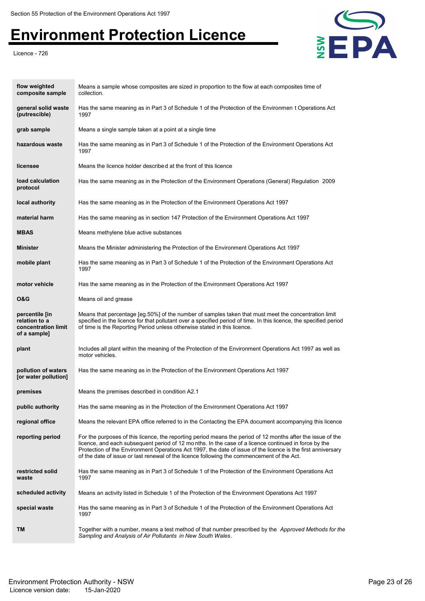

| flow weighted<br>composite sample                                      | Means a sample whose composites are sized in proportion to the flow at each composites time of<br>collection.                                                                                                                                                                                                                                                                                                                     |
|------------------------------------------------------------------------|-----------------------------------------------------------------------------------------------------------------------------------------------------------------------------------------------------------------------------------------------------------------------------------------------------------------------------------------------------------------------------------------------------------------------------------|
| general solid waste<br>(putrescible)                                   | Has the same meaning as in Part 3 of Schedule 1 of the Protection of the Environmen t Operations Act<br>1997                                                                                                                                                                                                                                                                                                                      |
| grab sample                                                            | Means a single sample taken at a point at a single time                                                                                                                                                                                                                                                                                                                                                                           |
| hazardous waste                                                        | Has the same meaning as in Part 3 of Schedule 1 of the Protection of the Environment Operations Act<br>1997                                                                                                                                                                                                                                                                                                                       |
| licensee                                                               | Means the licence holder described at the front of this licence                                                                                                                                                                                                                                                                                                                                                                   |
| load calculation<br>protocol                                           | Has the same meaning as in the Protection of the Environment Operations (General) Regulation 2009                                                                                                                                                                                                                                                                                                                                 |
| local authority                                                        | Has the same meaning as in the Protection of the Environment Operations Act 1997                                                                                                                                                                                                                                                                                                                                                  |
| material harm                                                          | Has the same meaning as in section 147 Protection of the Environment Operations Act 1997                                                                                                                                                                                                                                                                                                                                          |
| <b>MBAS</b>                                                            | Means methylene blue active substances                                                                                                                                                                                                                                                                                                                                                                                            |
| <b>Minister</b>                                                        | Means the Minister administering the Protection of the Environment Operations Act 1997                                                                                                                                                                                                                                                                                                                                            |
| mobile plant                                                           | Has the same meaning as in Part 3 of Schedule 1 of the Protection of the Environment Operations Act<br>1997                                                                                                                                                                                                                                                                                                                       |
| motor vehicle                                                          | Has the same meaning as in the Protection of the Environment Operations Act 1997                                                                                                                                                                                                                                                                                                                                                  |
| 0&G                                                                    | Means oil and grease                                                                                                                                                                                                                                                                                                                                                                                                              |
| percentile [in<br>relation to a<br>concentration limit<br>of a sample] | Means that percentage [eg.50%] of the number of samples taken that must meet the concentration limit<br>specified in the licence for that pollutant over a specified period of time. In this licence, the specified period<br>of time is the Reporting Period unless otherwise stated in this licence.                                                                                                                            |
| plant                                                                  | Includes all plant within the meaning of the Protection of the Environment Operations Act 1997 as well as<br>motor vehicles.                                                                                                                                                                                                                                                                                                      |
| pollution of waters<br>[or water pollution]                            | Has the same meaning as in the Protection of the Environment Operations Act 1997                                                                                                                                                                                                                                                                                                                                                  |
| premises                                                               | Means the premises described in condition A2.1                                                                                                                                                                                                                                                                                                                                                                                    |
| public authority                                                       | Has the same meaning as in the Protection of the Environment Operations Act 1997                                                                                                                                                                                                                                                                                                                                                  |
| regional office                                                        | Means the relevant EPA office referred to in the Contacting the EPA document accompanying this licence                                                                                                                                                                                                                                                                                                                            |
| reporting period                                                       | For the purposes of this licence, the reporting period means the period of 12 months after the issue of the<br>licence, and each subsequent period of 12 months. In the case of a licence continued in force by the<br>Protection of the Environment Operations Act 1997, the date of issue of the licence is the first anniversary<br>of the date of issue or last renewal of the licence following the commencement of the Act. |
| restricted solid<br>waste                                              | Has the same meaning as in Part 3 of Schedule 1 of the Protection of the Environment Operations Act<br>1997                                                                                                                                                                                                                                                                                                                       |
| scheduled activity                                                     | Means an activity listed in Schedule 1 of the Protection of the Environment Operations Act 1997                                                                                                                                                                                                                                                                                                                                   |
| special waste                                                          | Has the same meaning as in Part 3 of Schedule 1 of the Protection of the Environment Operations Act<br>1997                                                                                                                                                                                                                                                                                                                       |
| TМ                                                                     | Together with a number, means a test method of that number prescribed by the <i>Approved Methods for the</i><br>Sampling and Analysis of Air Pollutants in New South Wales.                                                                                                                                                                                                                                                       |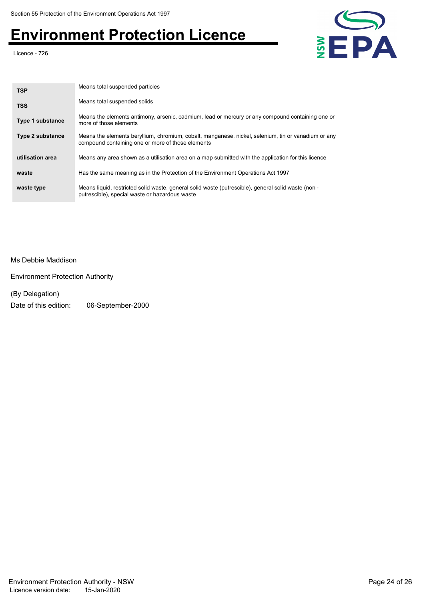Licence - 726



| <b>TSP</b>              | Means total suspended particles                                                                                                                          |
|-------------------------|----------------------------------------------------------------------------------------------------------------------------------------------------------|
| <b>TSS</b>              | Means total suspended solids                                                                                                                             |
| <b>Type 1 substance</b> | Means the elements antimony, arsenic, cadmium, lead or mercury or any compound containing one or<br>more of those elements                               |
| <b>Type 2 substance</b> | Means the elements beryllium, chromium, cobalt, manganese, nickel, selenium, tin or vanadium or any<br>compound containing one or more of those elements |
| utilisation area        | Means any area shown as a utilisation area on a map submitted with the application for this licence                                                      |
| waste                   | Has the same meaning as in the Protection of the Environment Operations Act 1997                                                                         |
| waste type              | Means liquid, restricted solid waste, general solid waste (putrescible), general solid waste (non -<br>putrescible), special waste or hazardous waste    |

Ms Debbie Maddison

Environment Protection Authority

(By Delegation)

Date of this edition: 06-September-2000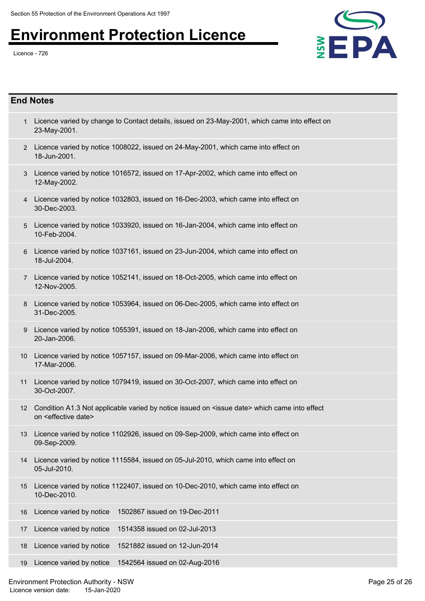

- 1 Licence varied by change to Contact details, issued on 23-May-2001, which came into effect on 23-May-2001.
- 2 Licence varied by notice 1008022, issued on 24-May-2001, which came into effect on 18-Jun-2001.
- Licence varied by notice 1016572, issued on 17-Apr-2002, which came into effect on 3 12-May-2002.
- 4 Licence varied by notice 1032803, issued on 16-Dec-2003, which came into effect on 30-Dec-2003.
- 5 Licence varied by notice 1033920, issued on 16-Jan-2004, which came into effect on 10-Feb-2004.
- Licence varied by notice 1037161, issued on 23-Jun-2004, which came into effect on 6 18-Jul-2004.
- 7 Licence varied by notice 1052141, issued on 18-Oct-2005, which came into effect on 12-Nov-2005.
- 8 Licence varied by notice 1053964, issued on 06-Dec-2005, which came into effect on 31-Dec-2005.
- Licence varied by notice 1055391, issued on 18-Jan-2006, which came into effect on 9 20-Jan-2006.
- Licence varied by notice 1057157, issued on 09-Mar-2006, which came into effect on 10 17-Mar-2006.
- Licence varied by notice 1079419, issued on 30-Oct-2007, which came into effect on 11 30-Oct-2007.
- 12 Condition A1.3 Not applicable varied by notice issued on <issue date> which came into effect on <effective date>
- Licence varied by notice 1102926, issued on 09-Sep-2009, which came into effect on 13 09-Sep-2009.
- Licence varied by notice 1115584, issued on 05-Jul-2010, which came into effect on 14 05-Jul-2010.
- Licence varied by notice 1122407, issued on 10-Dec-2010, which came into effect on 15 10-Dec-2010.
- 16 Licence varied by notice 1502867 issued on 19-Dec-2011
- 17 Licence varied by notice 1514358 issued on 02-Jul-2013
- 18 Licence varied by notice 1521882 issued on 12-Jun-2014
- 19 Licence varied by notice 1542564 issued on 02-Aug-2016